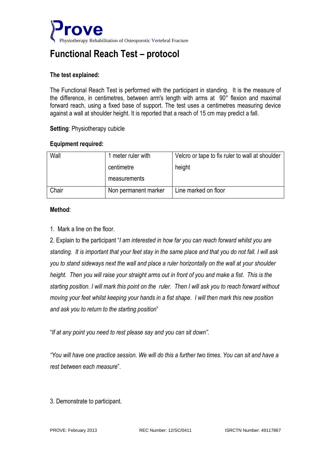

# **Functional Reach Test – protocol**

## **The test explained:**

The Functional Reach Test is performed with the participant in standing. It is the measure of the difference, in centimetres, between arm's length with arms at 90° flexion and maximal forward reach, using a fixed base of support. The test uses a centimetres measuring device against a wall at shoulder height. It is reported that a reach of 15 cm may predict a fall.

### **Setting**: Physiotherapy cubicle

#### **Equipment required:**

| Wall  | 1 meter ruler with   | Velcro or tape to fix ruler to wall at shoulder |
|-------|----------------------|-------------------------------------------------|
|       | centimetre           | height                                          |
|       | measurements         |                                                 |
| Chair | Non permanent marker | Line marked on floor                            |

### **Method**:

1. Mark a line on the floor.

2. Explain to the participant "*I am interested in how far you can reach forward whilst you are standing. It is important that your feet stay in the same place and that you do not fall. I will ask you to stand sideways next the wall and place a ruler horizontally on the wall at your shoulder height. Then you will raise your straight arms out in front of you and make a fist. This is the starting position. I will mark this point on the ruler. Then I will ask you to reach forward without moving your feet whilst keeping your hands in a fist shape. I will then mark this new position and ask you to return to the starting position*"

"*If at any point you need to rest please say and you can sit down".*

*"You will have one practice session. We will do this a further two times. You can sit and have a rest between each measure*".

3. Demonstrate to participant.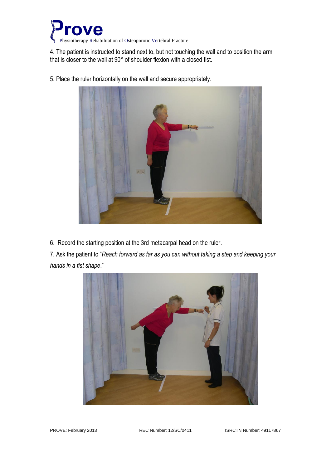

4. The patient is instructed to stand next to, but not touching the wall and to position the arm that is closer to the wall at 90° of shoulder flexion with a closed fist.



5. Place the ruler horizontally on the wall and secure appropriately.

6. Record the starting position at the 3rd metacarpal head on the ruler.

7. Ask the patient to "*Reach forward as far as you can without taking a step and keeping your hands in a fist shape*."